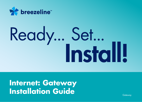

# Ready... Set...<br>Install!

**Internet: Gateway Installation Guide** 

Gateway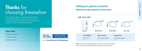## Thanks for choosing Breezeline™

We're excited to deliver our unlimited high-speed Internet and WiFi services directly to you. In this guide, you'll find everything you need to start utilizing our reliably fast Internet for all your working, video and streaming needs.

#### What's inside?



#### Getting your gateway connected

Follow these easy steps to setup your new internet service.



Note: If you have ordered Breezeline Voice service, you will also need a phone cord, which will be included. Please refer to page 6 for phone instructions.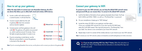#### How to set up your gateway

Follow the steps below to connect your new Breezeline Gateway, the all-inone device that allows you to utilize both wired and wireless (WiFi) devices.

- **1.** Locate a cable wall outlet (coaxial) in a central location. It will look like this:
- **2.** Connect coaxial cable from the wall to gateway  $\blacktriangle$  (insert into connector and turn barrel to tighten).
- **3.** Connect power cord from gateway to the wall outlet  $\bullet$ . The gateway will update once powered on, which could last around 10 minutes. Once the lights are glowing steady, it's ready to use.
- **4.** If you're connecting a wired device, use the Ethernet cord provided to connect the gateway to the back of the device  $\bullet$ .



Note: If you're connecting Breezeline Voice service, use the phone cord to connect your phone to the gateway  $\bullet$ .

#### Connect your gateway to WiFi

To connect to your new WiFi network, you can keep the default WiFi network names and password OR you can rename them. To connect to the default WiFi network:

- **1.** Look for the label on the bottom of your gateway (example shown here). You'll see both 2.4GHz and 5GHz "SSIDs", as well as a "Pre-Shared Key" or password.
- 
- **2.** On your smartphone or laptop go to "WiFi Settings".
- **3.** Locate the unique 5G SSID on your gateway, and then select it from your available WiFi networks list. If you don't see the 5G SSID listed, select the 2.4G SSID instead. Then input the password or "Pre-Shared Key" from your label. Your device is now connected to your home WiFi network!
- **4.** Repeat steps 2 and 3 to connect all the wireless devices in your home to your new WiFi network.

Note: To rename your new WiFi networks, please visit breezeline.com/self-install-gateway for further instructions.



Tip: If you are also activating WiFi Your Way™ Home, follow the instructions on the WiFi Your Way™ Home Ready Set Go Instructions to download the App and activate your pods.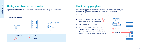#### Getting your phone service connected

If you ordered Breezeline Voice, follow these easy instructions to set up your phone service.



#### How to set up your phone

After connecting your Breezeline Gateway, follow these steps to connect your phone line. To get started you will need a phone and a phone cord.

Note: For this activation step, do not connect the gateway phone port to any phone jacks.

- **1.** Connect the phone cord from your phone **A** into phone port  $#1$  on the back of the gateway  $\bullet$ .
- **2.** You should now hear a dial tone.
- **3.** From this phone, call the activation line at 1.888.674.4738 to complete the set up of your phone line and features. The activation team will assist you with connecting any additional phones.